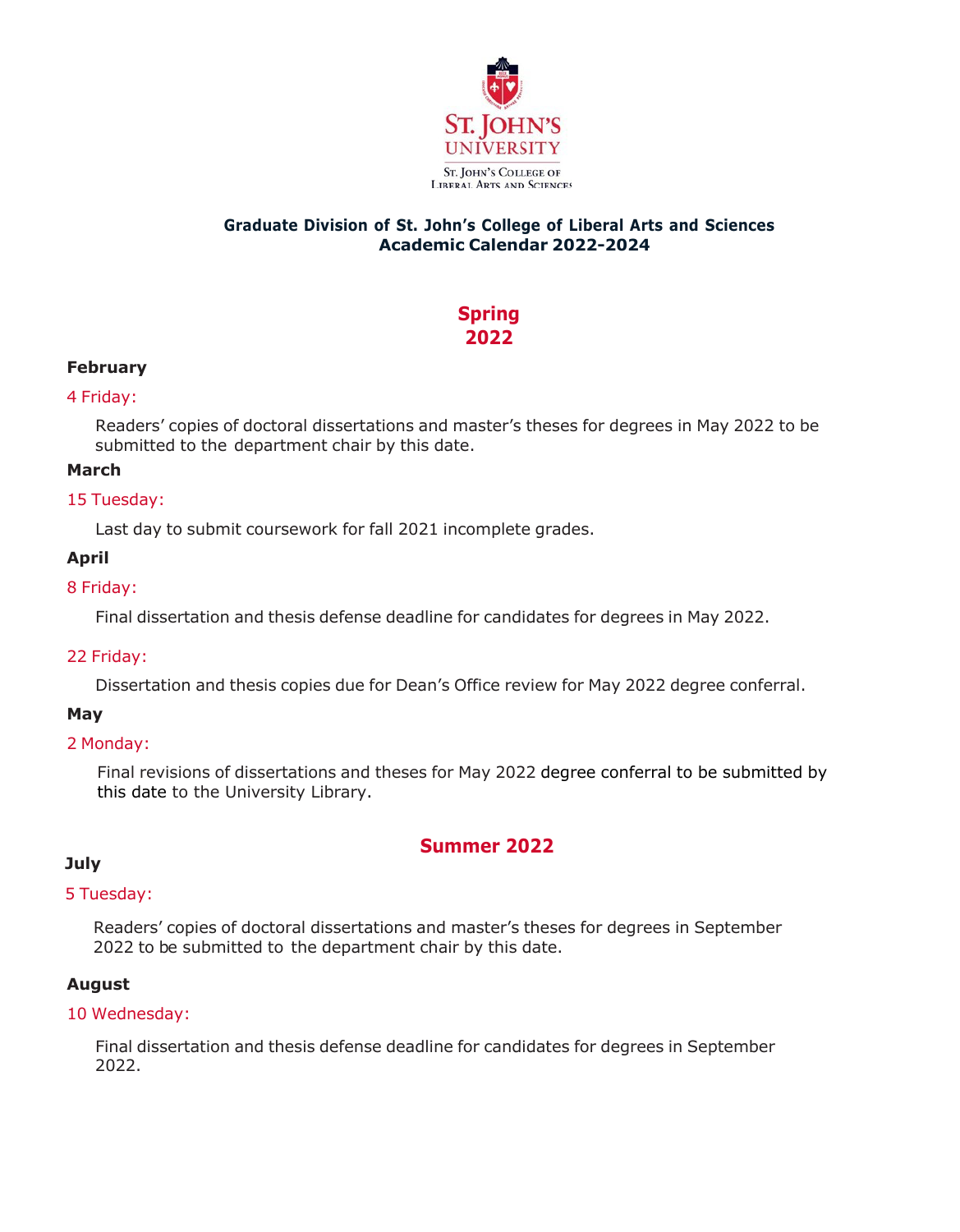

# **Graduate Division of St. John's College of Liberal Arts and Sciences Academic Calendar 2022-2024**

# **Spring 2022**

# **February**

## 4 Friday:

Readers' copies of doctoral dissertations and master's theses for degrees in May 2022 to be submitted to the department chair by this date.

# **March**

## 15 Tuesday:

Last day to submit coursework for fall 2021 incomplete grades.

# **April**

# 8 Friday:

Final dissertation and thesis defense deadline for candidates for degrees in May 2022.

## 22 Friday:

Dissertation and thesis copies due for Dean's Office review for May 2022 degree conferral.

# **May**

## 2 Monday:

Final revisions of dissertations and theses for May 2022 degree conferral to be submitted by this date to the University Library.

# **Summer 2022**

# **July**

## 5 Tuesday:

Readers' copies of doctoral dissertations and master's theses for degrees in September 2022 to be submitted to the department chair by this date.

## **August**

## 10 Wednesday:

Final dissertation and thesis defense deadline for candidates for degrees in September 2022.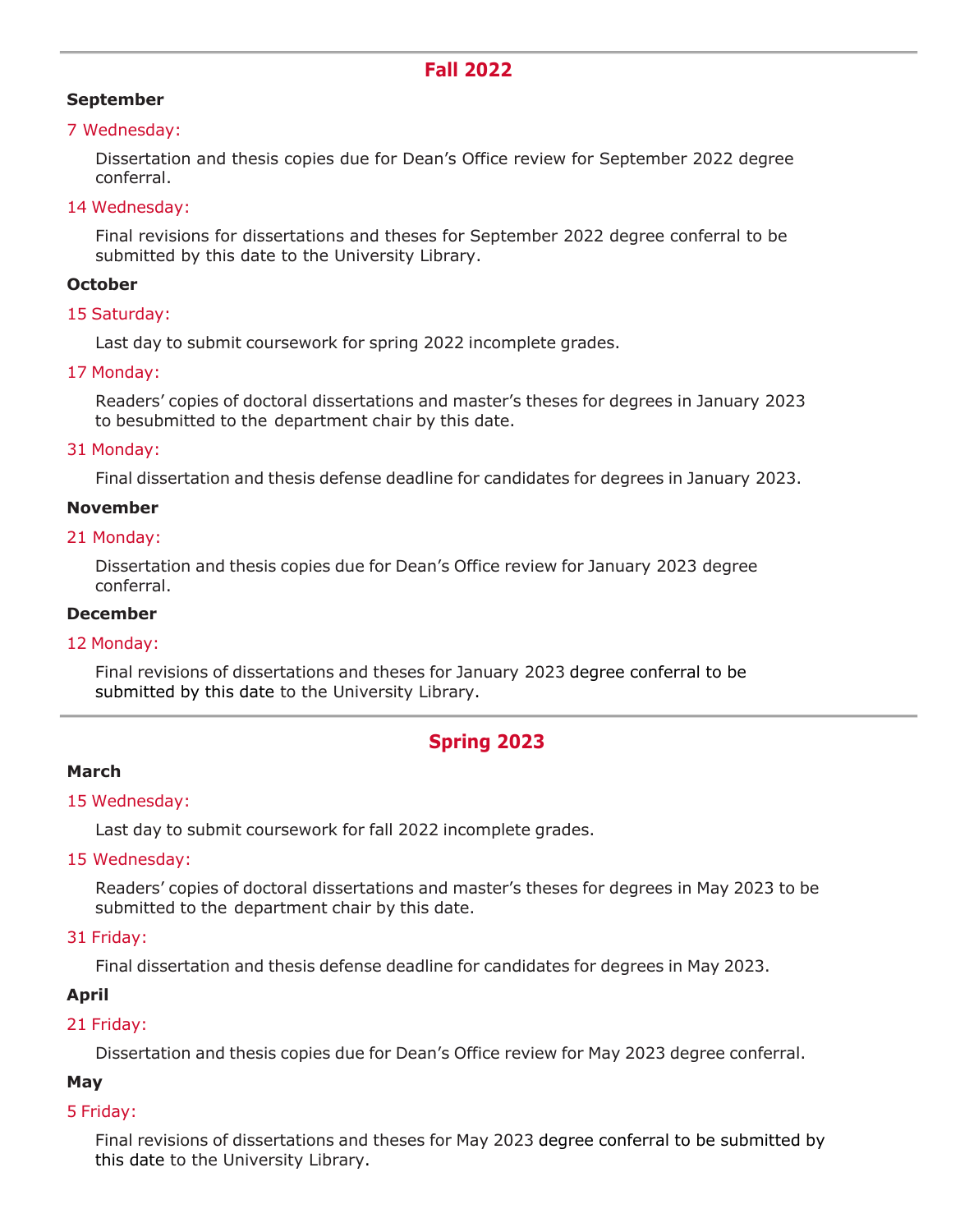# **September**

#### 7 Wednesday:

Dissertation and thesis copies due for Dean's Office review for September 2022 degree conferral.

#### 14 Wednesday:

Final revisions for dissertations and theses for September 2022 degree conferral to be submitted by this date to the University Library.

#### **October**

#### 15 Saturday:

Last day to submit coursework for spring 2022 incomplete grades.

#### 17 Monday:

Readers' copies of doctoral dissertations and master's theses for degrees in January 2023 to besubmitted to the department chair by this date.

#### 31 Monday:

Final dissertation and thesis defense deadline for candidates for degrees in January 2023.

#### **November**

#### 21 Monday:

Dissertation and thesis copies due for Dean's Office review for January 2023 degree conferral.

#### **December**

## 12 Monday:

Final revisions of dissertations and theses for January 2023 degree conferral to be submitted by this date to the University Library.

# **Spring 2023**

## **March**

#### 15 Wednesday:

Last day to submit coursework for fall 2022 incomplete grades.

## 15 Wednesday:

Readers' copies of doctoral dissertations and master's theses for degrees in May 2023 to be submitted to the department chair by this date.

#### 31 Friday:

Final dissertation and thesis defense deadline for candidates for degrees in May 2023.

## **April**

## 21 Friday:

Dissertation and thesis copies due for Dean's Office review for May 2023 degree conferral.

## **May**

## 5 Friday:

Final revisions of dissertations and theses for May 2023 degree conferral to be submitted by this date to the University Library.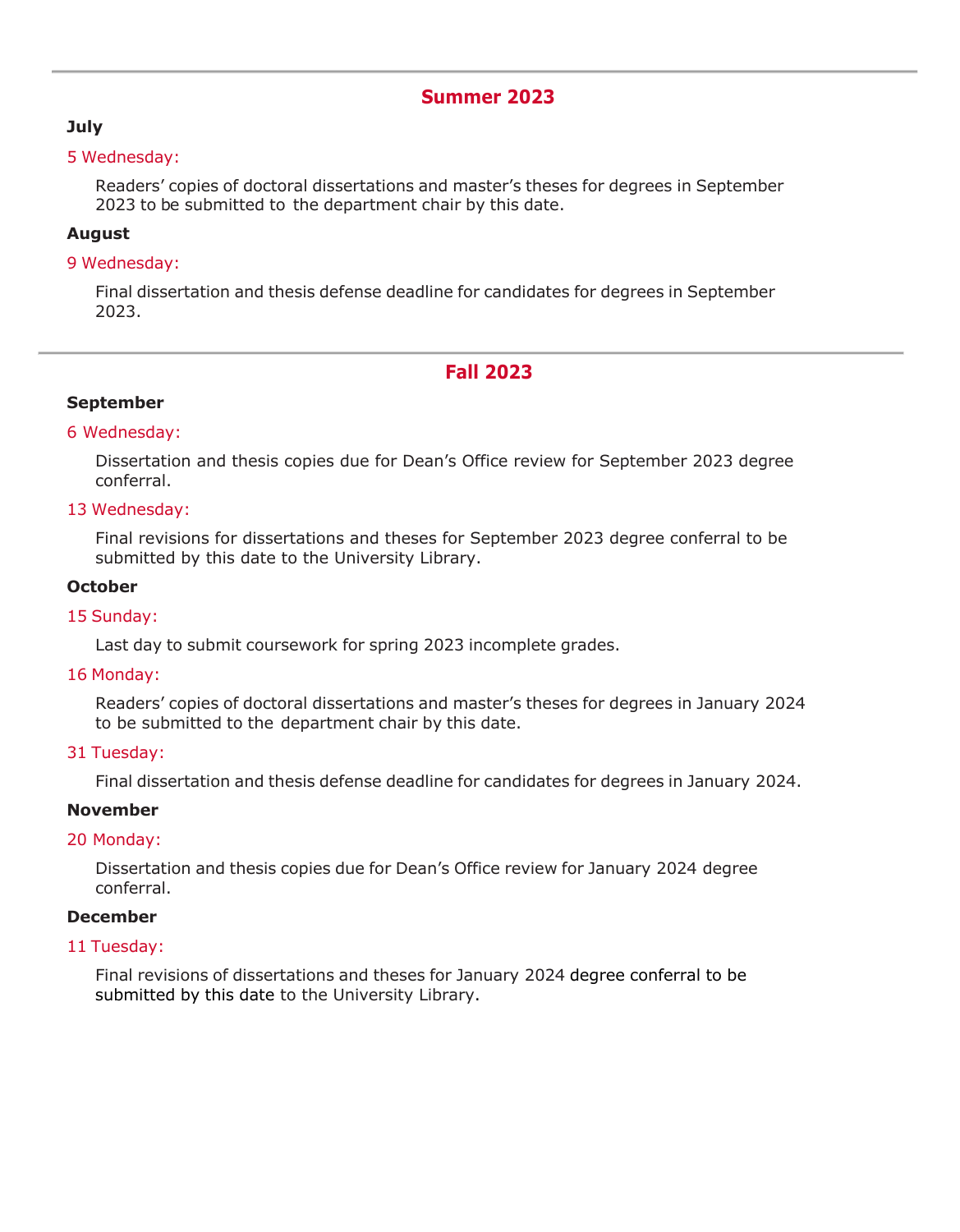# **Summer 2023**

# **July**

#### 5 Wednesday:

Readers' copies of doctoral dissertations and master's theses for degrees in September 2023 to be submitted to the department chair by this date.

## **August**

#### 9 Wednesday:

Final dissertation and thesis defense deadline for candidates for degrees in September 2023.

# **Fall 2023**

# **September**

## 6 Wednesday:

Dissertation and thesis copies due for Dean's Office review for September 2023 degree conferral.

## 13 Wednesday:

Final revisions for dissertations and theses for September 2023 degree conferral to be submitted by this date to the University Library.

## **October**

#### 15 Sunday:

Last day to submit coursework for spring 2023 incomplete grades.

#### 16 Monday:

Readers' copies of doctoral dissertations and master's theses for degrees in January 2024 to be submitted to the department chair by this date.

## 31 Tuesday:

Final dissertation and thesis defense deadline for candidates for degrees in January 2024.

## **November**

## 20 Monday:

Dissertation and thesis copies due for Dean's Office review for January 2024 degree conferral.

## **December**

#### 11 Tuesday:

Final revisions of dissertations and theses for January 2024 degree conferral to be submitted by this date to the University Library.